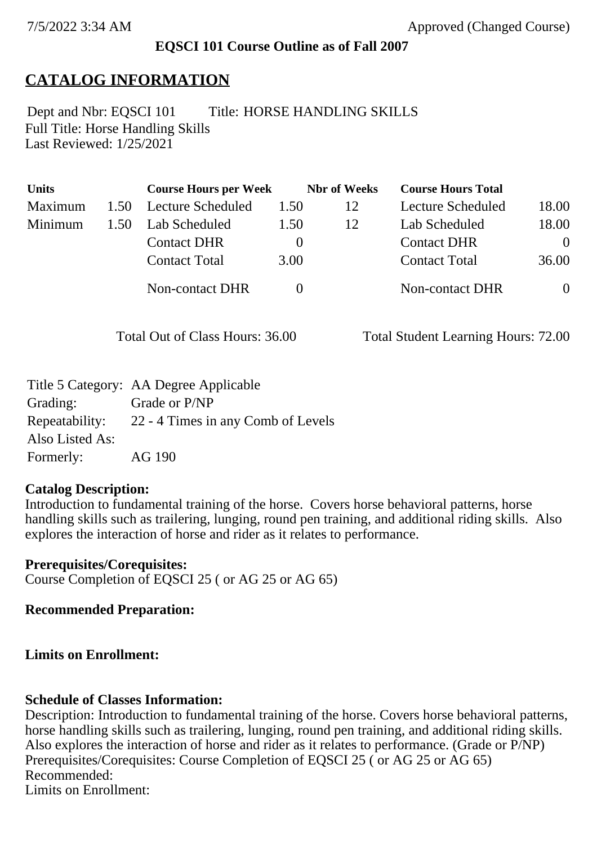### **EQSCI 101 Course Outline as of Fall 2007**

## **CATALOG INFORMATION**

Full Title: Horse Handling Skills Last Reviewed: 1/25/2021 Dept and Nbr: EQSCI 101 Title: HORSE HANDLING SKILLS

| <b>Units</b> |      | <b>Course Hours per Week</b> |          | <b>Nbr</b> of Weeks | <b>Course Hours Total</b> |                |
|--------------|------|------------------------------|----------|---------------------|---------------------------|----------------|
| Maximum      | 1.50 | Lecture Scheduled            | 1.50     | 12                  | Lecture Scheduled         | 18.00          |
| Minimum      | 1.50 | Lab Scheduled                | 1.50     | 12                  | Lab Scheduled             | 18.00          |
|              |      | <b>Contact DHR</b>           | $\theta$ |                     | <b>Contact DHR</b>        | $\theta$       |
|              |      | <b>Contact Total</b>         | 3.00     |                     | <b>Contact Total</b>      | 36.00          |
|              |      | Non-contact DHR              |          |                     | <b>Non-contact DHR</b>    | $\overline{0}$ |

Total Out of Class Hours: 36.00 Total Student Learning Hours: 72.00

|                 | Title 5 Category: AA Degree Applicable |
|-----------------|----------------------------------------|
| Grading:        | Grade or P/NP                          |
| Repeatability:  | 22 - 4 Times in any Comb of Levels     |
| Also Listed As: |                                        |
| Formerly:       | AG 190                                 |

#### **Catalog Description:**

Introduction to fundamental training of the horse. Covers horse behavioral patterns, horse handling skills such as trailering, lunging, round pen training, and additional riding skills. Also explores the interaction of horse and rider as it relates to performance.

**Prerequisites/Corequisites:** Course Completion of EQSCI 25 ( or AG 25 or AG 65)

**Recommended Preparation:**

### **Limits on Enrollment:**

### **Schedule of Classes Information:**

Description: Introduction to fundamental training of the horse. Covers horse behavioral patterns, horse handling skills such as trailering, lunging, round pen training, and additional riding skills. Also explores the interaction of horse and rider as it relates to performance. (Grade or P/NP) Prerequisites/Corequisites: Course Completion of EQSCI 25 (or AG 25 or AG 65) Recommended: Limits on Enrollment: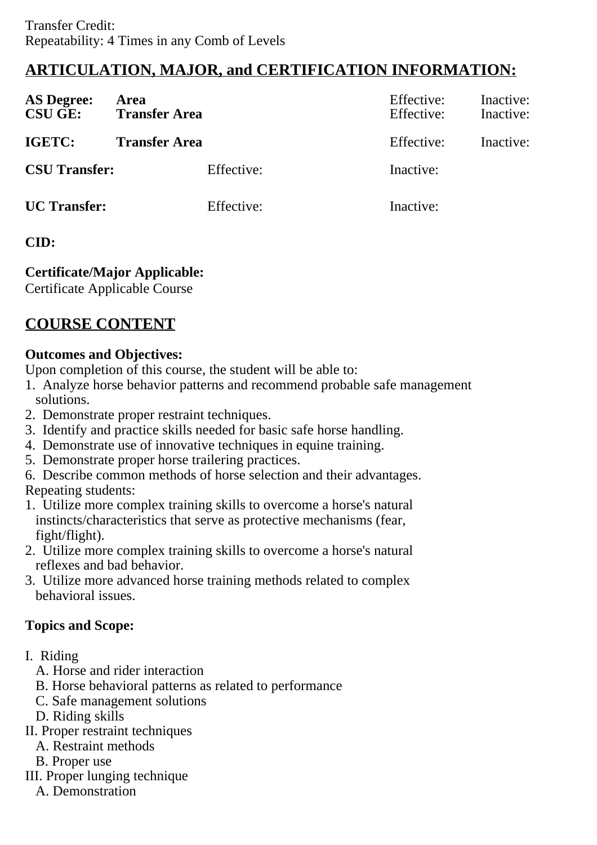# **ARTICULATION, MAJOR, and CERTIFICATION INFORMATION:**

| <b>AS Degree:</b><br><b>CSU GE:</b> | Area<br><b>Transfer Area</b> | Effective:<br>Effective: | Inactive:<br>Inactive: |
|-------------------------------------|------------------------------|--------------------------|------------------------|
| IGETC:                              | <b>Transfer Area</b>         | Effective:               | Inactive:              |
| <b>CSU Transfer:</b>                | Effective:                   | Inactive:                |                        |
| <b>UC</b> Transfer:                 | Effective:                   | Inactive:                |                        |

### **CID:**

**Certificate/Major Applicable:** 

[Certificate Applicable Course](SR_ClassCheck.aspx?CourseKey=EQSCI101)

# **COURSE CONTENT**

### **Outcomes and Objectives:**

Upon completion of this course, the student will be able to:

- 1. Analyze horse behavior patterns and recommend probable safe management solutions.
- 2. Demonstrate proper restraint techniques.
- 3. Identify and practice skills needed for basic safe horse handling.
- 4. Demonstrate use of innovative techniques in equine training.
- 5. Demonstrate proper horse trailering practices.
- 6. Describe common methods of horse selection and their advantages.
- Repeating students:
- 1. Utilize more complex training skills to overcome a horse's natural instincts/characteristics that serve as protective mechanisms (fear, fight/flight).
- 2. Utilize more complex training skills to overcome a horse's natural reflexes and bad behavior.
- 3. Utilize more advanced horse training methods related to complex behavioral issues.

## **Topics and Scope:**

- I. Riding
	- A. Horse and rider interaction
	- B. Horse behavioral patterns as related to performance
	- C. Safe management solutions
	- D. Riding skills
- II. Proper restraint techniques
	- A. Restraint methods
	- B. Proper use
- III. Proper lunging technique
	- A. Demonstration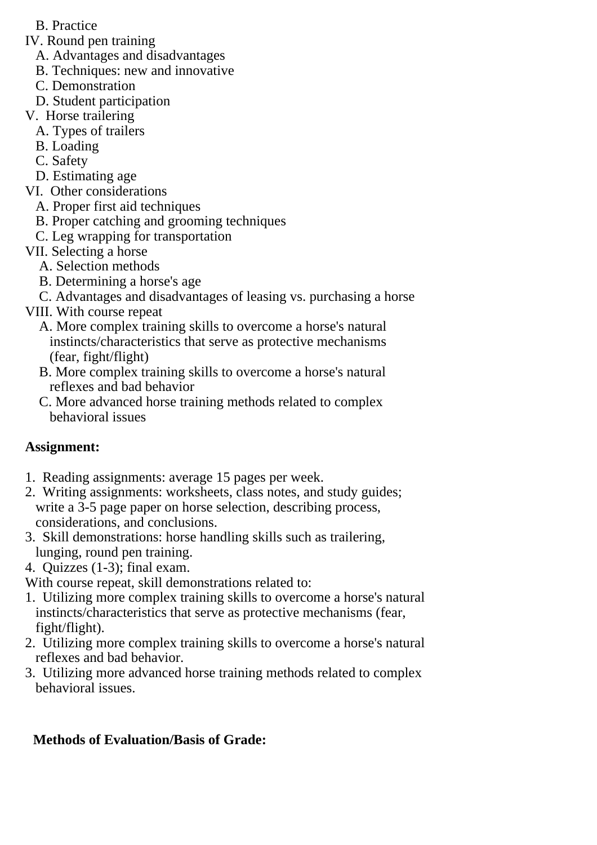- B. Practice
- IV. Round pen training
	- A. Advantages and disadvantages
	- B. Techniques: new and innovative
	- C. Demonstration
	- D. Student participation
- V. Horse trailering
	- A. Types of trailers
	- B. Loading
	- C. Safety
- D. Estimating age
- VI. Other considerations
	- A. Proper first aid techniques
	- B. Proper catching and grooming techniques
	- C. Leg wrapping for transportation
- VII. Selecting a horse
	- A. Selection methods
	- B. Determining a horse's age
	- C. Advantages and disadvantages of leasing vs. purchasing a horse
- VIII. With course repeat
	- A. More complex training skills to overcome a horse's natural instincts/characteristics that serve as protective mechanisms (fear, fight/flight)
	- B. More complex training skills to overcome a horse's natural reflexes and bad behavior
	- C. More advanced horse training methods related to complex behavioral issues

## **Assignment:**

- 1. Reading assignments: average 15 pages per week.
- 2. Writing assignments: worksheets, class notes, and study guides; write a 3-5 page paper on horse selection, describing process, considerations, and conclusions.
- 3. Skill demonstrations: horse handling skills such as trailering, lunging, round pen training.
- 4. Quizzes (1-3); final exam.

With course repeat, skill demonstrations related to:

- 1. Utilizing more complex training skills to overcome a horse's natural instincts/characteristics that serve as protective mechanisms (fear, fight/flight).
- 2. Utilizing more complex training skills to overcome a horse's natural reflexes and bad behavior.
- 3. Utilizing more advanced horse training methods related to complex behavioral issues.

# **Methods of Evaluation/Basis of Grade:**